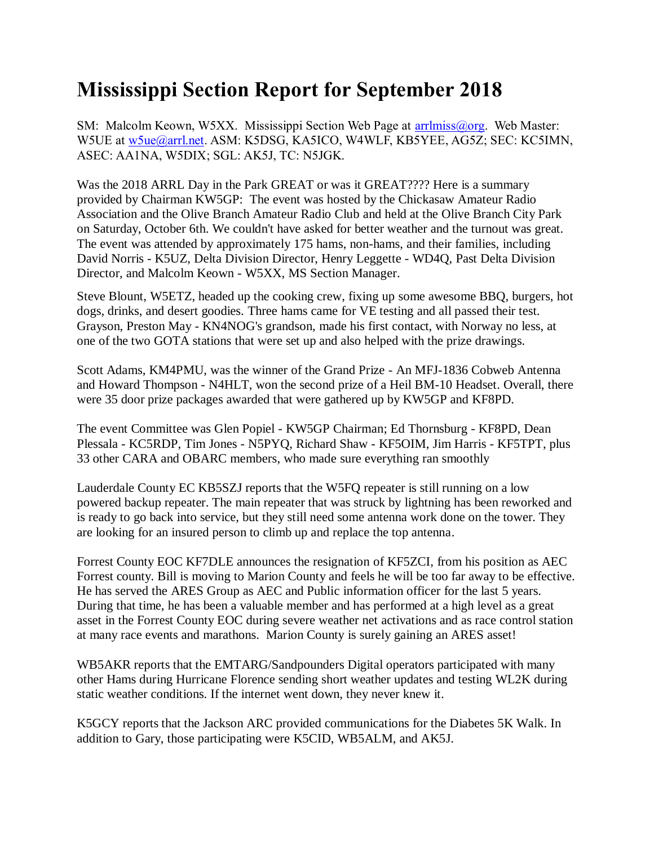## **Mississippi Section Report for September 2018**

SM: Malcolm Keown, W5XX. Mississippi Section Web Page at [arrlmiss@org.](mailto:arrlmiss@org) Web Master: W5UE at [w5ue@arrl.net.](mailto:w5ue@arrl.net) ASM: K5DSG, KA5ICO, W4WLF, KB5YEE, AG5Z; SEC: KC5IMN, ASEC: AA1NA, W5DIX; SGL: AK5J, TC: N5JGK.

Was the 2018 ARRL Day in the Park GREAT or was it GREAT???? Here is a summary provided by Chairman KW5GP: The event was hosted by the Chickasaw Amateur Radio Association and the Olive Branch Amateur Radio Club and held at the Olive Branch City Park on Saturday, October 6th. We couldn't have asked for better weather and the turnout was great. The event was attended by approximately 175 hams, non-hams, and their families, including David Norris - K5UZ, Delta Division Director, Henry Leggette - WD4Q, Past Delta Division Director, and Malcolm Keown - W5XX, MS Section Manager.

Steve Blount, W5ETZ, headed up the cooking crew, fixing up some awesome BBQ, burgers, hot dogs, drinks, and desert goodies. Three hams came for VE testing and all passed their test. Grayson, Preston May - KN4NOG's grandson, made his first contact, with Norway no less, at one of the two GOTA stations that were set up and also helped with the prize drawings.

Scott Adams, KM4PMU, was the winner of the Grand Prize - An MFJ-1836 Cobweb Antenna and Howard Thompson - N4HLT, won the second prize of a Heil BM-10 Headset. Overall, there were 35 door prize packages awarded that were gathered up by KW5GP and KF8PD.

The event Committee was Glen Popiel - KW5GP Chairman; Ed Thornsburg - KF8PD, Dean Plessala - KC5RDP, Tim Jones - N5PYQ, Richard Shaw - KF5OIM, Jim Harris - KF5TPT, plus 33 other CARA and OBARC members, who made sure everything ran smoothly

Lauderdale County EC KB5SZJ reports that the W5FQ repeater is still running on a low powered backup repeater. The main repeater that was struck by lightning has been reworked and is ready to go back into service, but they still need some antenna work done on the tower. They are looking for an insured person to climb up and replace the top antenna.

Forrest County EOC KF7DLE announces the resignation of KF5ZCI, from his position as AEC Forrest county. Bill is moving to Marion County and feels he will be too far away to be effective. He has served the ARES Group as AEC and Public information officer for the last 5 years. During that time, he has been a valuable member and has performed at a high level as a great asset in the Forrest County EOC during severe weather net activations and as race control station at many race events and marathons. Marion County is surely gaining an ARES asset!

WB5AKR reports that the EMTARG/Sandpounders Digital operators participated with many other Hams during Hurricane Florence sending short weather updates and testing WL2K during static weather conditions. If the internet went down, they never knew it.

K5GCY reports that the Jackson ARC provided communications for the Diabetes 5K Walk. In addition to Gary, those participating were K5CID, WB5ALM, and AK5J.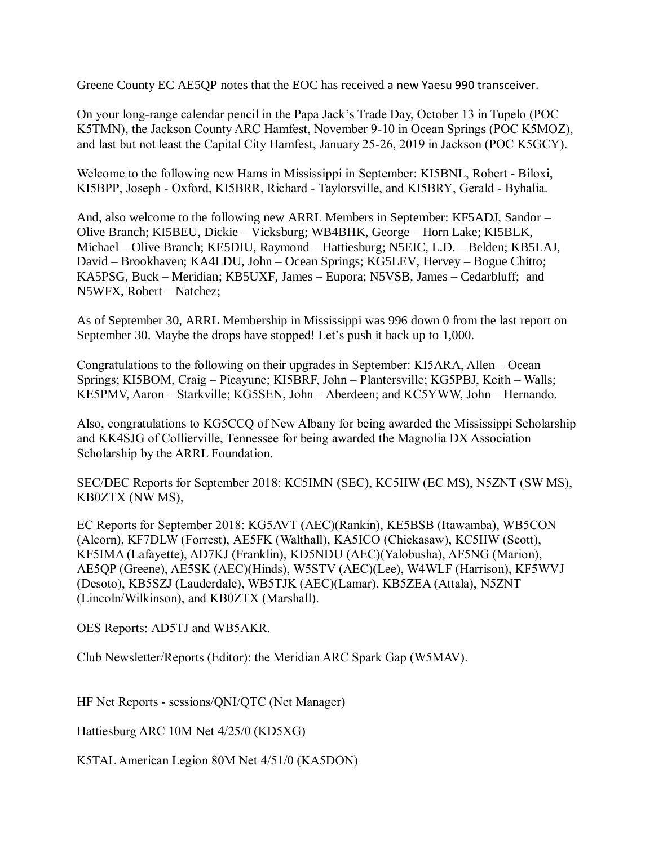Greene County EC AE5QP notes that the EOC has received a new Yaesu 990 transceiver.

On your long-range calendar pencil in the Papa Jack's Trade Day, October 13 in Tupelo (POC K5TMN), the Jackson County ARC Hamfest, November 9-10 in Ocean Springs (POC K5MOZ), and last but not least the Capital City Hamfest, January 25-26, 2019 in Jackson (POC K5GCY).

Welcome to the following new Hams in Mississippi in September: KI5BNL, Robert - Biloxi, KI5BPP, Joseph - Oxford, KI5BRR, Richard - Taylorsville, and KI5BRY, Gerald - Byhalia.

And, also welcome to the following new ARRL Members in September: KF5ADJ, Sandor – Olive Branch; KI5BEU, Dickie – Vicksburg; WB4BHK, George – Horn Lake; KI5BLK, Michael – Olive Branch; KE5DIU, Raymond – Hattiesburg; N5EIC, L.D. – Belden; KB5LAJ, David – Brookhaven; KA4LDU, John – Ocean Springs; KG5LEV, Hervey – Bogue Chitto; KA5PSG, Buck – Meridian; KB5UXF, James – Eupora; N5VSB, James – Cedarbluff; and N5WFX, Robert – Natchez;

As of September 30, ARRL Membership in Mississippi was 996 down 0 from the last report on September 30. Maybe the drops have stopped! Let's push it back up to 1,000.

Congratulations to the following on their upgrades in September: KI5ARA, Allen – Ocean Springs; KI5BOM, Craig – Picayune; KI5BRF, John – Plantersville; KG5PBJ, Keith – Walls; KE5PMV, Aaron – Starkville; KG5SEN, John – Aberdeen; and KC5YWW, John – Hernando.

Also, congratulations to KG5CCQ of New Albany for being awarded the Mississippi Scholarship and KK4SJG of Collierville, Tennessee for being awarded the Magnolia DX Association Scholarship by the ARRL Foundation.

SEC/DEC Reports for September 2018: KC5IMN (SEC), KC5IIW (EC MS), N5ZNT (SW MS), KB0ZTX (NW MS),

EC Reports for September 2018: KG5AVT (AEC)(Rankin), KE5BSB (Itawamba), WB5CON (Alcorn), KF7DLW (Forrest), AE5FK (Walthall), KA5ICO (Chickasaw), KC5IIW (Scott), KF5IMA (Lafayette), AD7KJ (Franklin), KD5NDU (AEC)(Yalobusha), AF5NG (Marion), AE5QP (Greene), AE5SK (AEC)(Hinds), W5STV (AEC)(Lee), W4WLF (Harrison), KF5WVJ (Desoto), KB5SZJ (Lauderdale), WB5TJK (AEC)(Lamar), KB5ZEA (Attala), N5ZNT (Lincoln/Wilkinson), and KB0ZTX (Marshall).

OES Reports: AD5TJ and WB5AKR.

Club Newsletter/Reports (Editor): the Meridian ARC Spark Gap (W5MAV).

HF Net Reports - sessions/QNI/QTC (Net Manager)

Hattiesburg ARC 10M Net 4/25/0 (KD5XG)

K5TAL American Legion 80M Net 4/51/0 (KA5DON)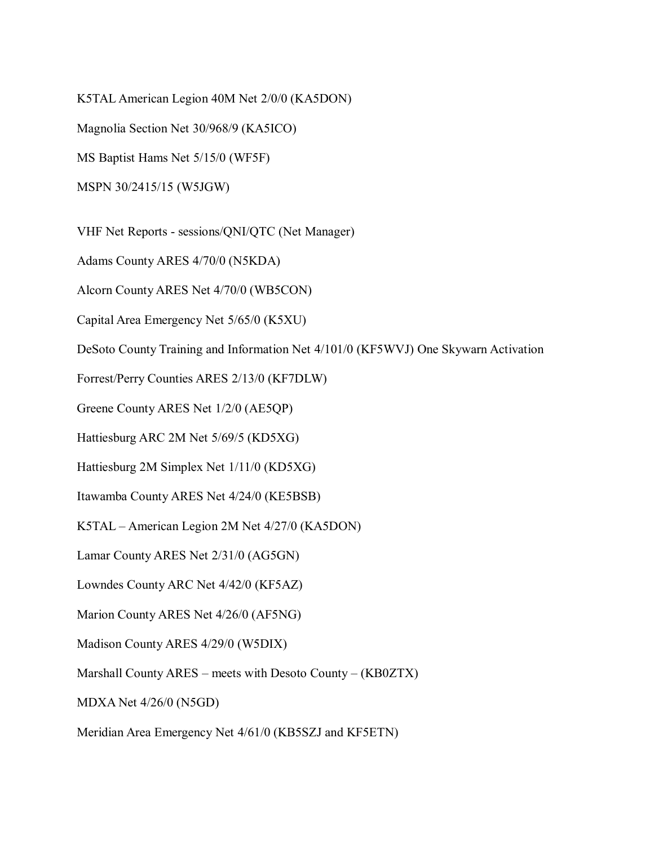K5TAL American Legion 40M Net 2/0/0 (KA5DON)

Magnolia Section Net 30/968/9 (KA5ICO)

MS Baptist Hams Net 5/15/0 (WF5F)

MSPN 30/2415/15 (W5JGW)

VHF Net Reports - sessions/QNI/QTC (Net Manager)

Adams County ARES 4/70/0 (N5KDA)

Alcorn County ARES Net 4/70/0 (WB5CON)

Capital Area Emergency Net 5/65/0 (K5XU)

DeSoto County Training and Information Net 4/101/0 (KF5WVJ) One Skywarn Activation

Forrest/Perry Counties ARES 2/13/0 (KF7DLW)

Greene County ARES Net 1/2/0 (AE5QP)

Hattiesburg ARC 2M Net 5/69/5 (KD5XG)

Hattiesburg 2M Simplex Net 1/11/0 (KD5XG)

Itawamba County ARES Net 4/24/0 (KE5BSB)

K5TAL – American Legion 2M Net 4/27/0 (KA5DON)

Lamar County ARES Net 2/31/0 (AG5GN)

Lowndes County ARC Net 4/42/0 (KF5AZ)

Marion County ARES Net 4/26/0 (AF5NG)

Madison County ARES 4/29/0 (W5DIX)

Marshall County ARES – meets with Desoto County – (KB0ZTX)

MDXA Net 4/26/0 (N5GD)

Meridian Area Emergency Net 4/61/0 (KB5SZJ and KF5ETN)